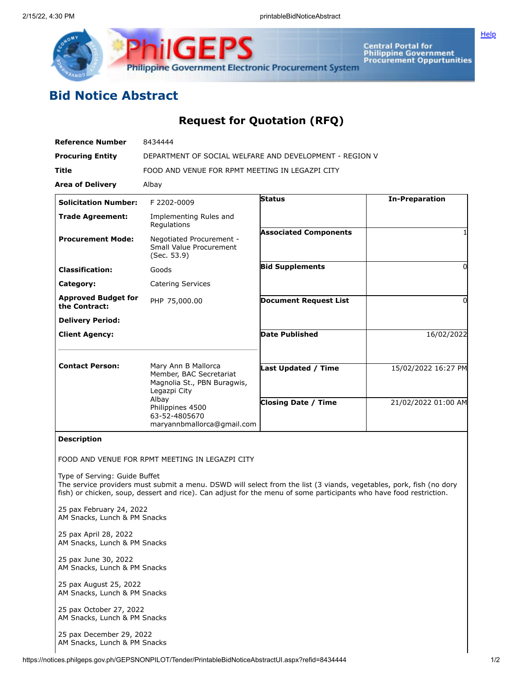

**Central Portal for<br>Philippine Government<br>Procurement Oppurtunities** 

**[Help](javascript:void(window.open()** 

## **Bid Notice Abstract**

## **Request for Quotation (RFQ)**

| <b>Reference Number</b>                                                           | 8434444                                                                                                                                                                                                                                                                                      |                                                   |                                            |
|-----------------------------------------------------------------------------------|----------------------------------------------------------------------------------------------------------------------------------------------------------------------------------------------------------------------------------------------------------------------------------------------|---------------------------------------------------|--------------------------------------------|
| <b>Procuring Entity</b>                                                           | DEPARTMENT OF SOCIAL WELFARE AND DEVELOPMENT - REGION V                                                                                                                                                                                                                                      |                                                   |                                            |
| <b>Title</b>                                                                      | FOOD AND VENUE FOR RPMT MEETING IN LEGAZPI CITY                                                                                                                                                                                                                                              |                                                   |                                            |
| <b>Area of Delivery</b>                                                           | Albay                                                                                                                                                                                                                                                                                        |                                                   |                                            |
| <b>Solicitation Number:</b>                                                       | F 2202-0009                                                                                                                                                                                                                                                                                  | <b>Status</b>                                     | <b>In-Preparation</b>                      |
| <b>Trade Agreement:</b>                                                           | Implementing Rules and<br>Regulations                                                                                                                                                                                                                                                        | <b>Associated Components</b>                      |                                            |
| <b>Procurement Mode:</b>                                                          | Negotiated Procurement -<br>Small Value Procurement<br>(Sec. 53.9)                                                                                                                                                                                                                           |                                                   |                                            |
| <b>Classification:</b>                                                            | Goods                                                                                                                                                                                                                                                                                        | <b>Bid Supplements</b>                            | 0                                          |
| Category:                                                                         | Catering Services                                                                                                                                                                                                                                                                            |                                                   |                                            |
| <b>Approved Budget for</b><br>the Contract:                                       | PHP 75,000.00                                                                                                                                                                                                                                                                                | <b>Document Request List</b>                      | $\Omega$                                   |
| <b>Delivery Period:</b>                                                           |                                                                                                                                                                                                                                                                                              |                                                   |                                            |
| <b>Client Agency:</b>                                                             |                                                                                                                                                                                                                                                                                              | <b>Date Published</b>                             | 16/02/2022                                 |
| <b>Contact Person:</b>                                                            | Mary Ann B Mallorca<br>Member, BAC Secretariat<br>Magnolia St., PBN Buragwis,<br>Legazpi City<br>Albay<br>Philippines 4500<br>63-52-4805670<br>maryannbmallorca@gmail.com                                                                                                                    | Last Updated / Time<br><b>Closing Date / Time</b> | 15/02/2022 16:27 PM<br>21/02/2022 01:00 AM |
| <b>Description</b>                                                                |                                                                                                                                                                                                                                                                                              |                                                   |                                            |
| Type of Serving: Guide Buffet                                                     | FOOD AND VENUE FOR RPMT MEETING IN LEGAZPI CITY<br>The service providers must submit a menu. DSWD will select from the list (3 viands, vegetables, pork, fish (no dory<br>fish) or chicken, soup, dessert and rice). Can adjust for the menu of some participants who have food restriction. |                                                   |                                            |
| 25 pax February 24, 2022<br>AM Snacks, Lunch & PM Snacks<br>25 pax April 28, 2022 |                                                                                                                                                                                                                                                                                              |                                                   |                                            |
| AM Snacks, Lunch & PM Snacks                                                      |                                                                                                                                                                                                                                                                                              |                                                   |                                            |
| 25 pax June 30, 2022<br>AM Snacks, Lunch & PM Snacks                              |                                                                                                                                                                                                                                                                                              |                                                   |                                            |
| 25 pax August 25, 2022<br>AM Snacks, Lunch & PM Snacks                            |                                                                                                                                                                                                                                                                                              |                                                   |                                            |
| 25 pax October 27, 2022<br>AM Snacks, Lunch & PM Snacks                           |                                                                                                                                                                                                                                                                                              |                                                   |                                            |
| 25 pax December 29, 2022<br>AM Snacks, Lunch & PM Snacks                          |                                                                                                                                                                                                                                                                                              |                                                   |                                            |